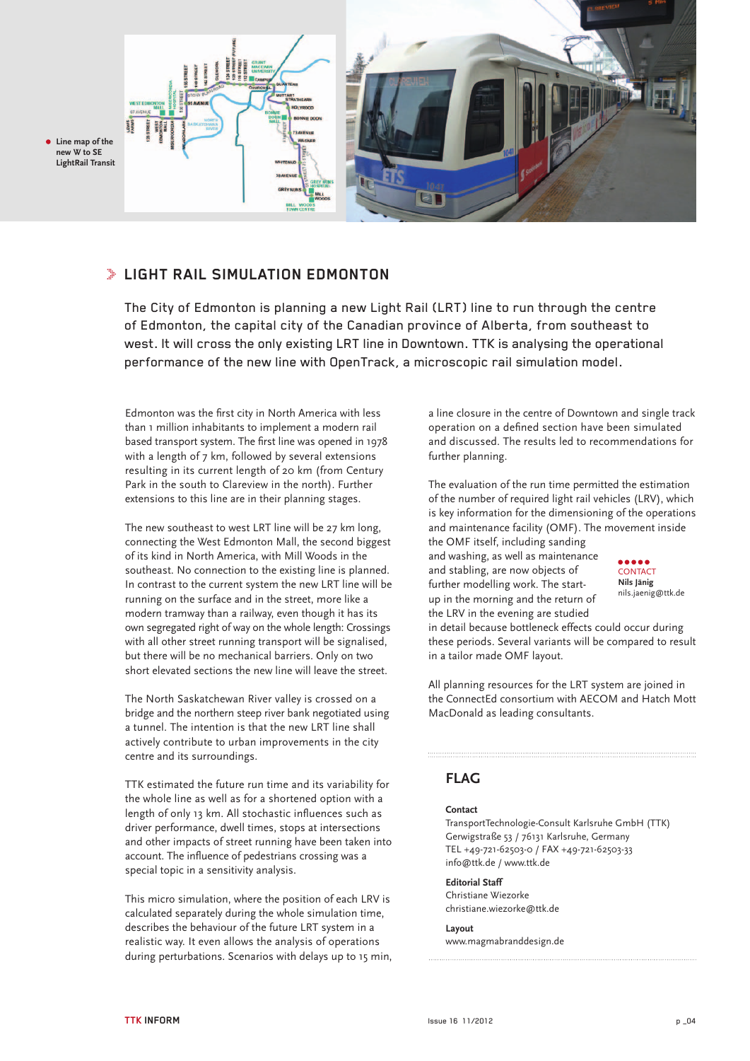

### **Light Rail Simulation Edmonton**

The City of Edmonton is planning a new Light Rail (LRT) line to run through the centre of Edmonton, the capital city of the Canadian province of Alberta, from southeast to west. It will cross the only existing LRT line in Downtown. TTK is analysing the operational performance of the new line with OpenTrack, a microscopic rail simulation model.

Edmonton was the first city in North America with less than 1 million inhabitants to implement a modern rail based transport system. The first line was opened in 1978 with a length of 7 km, followed by several extensions resulting in its current length of 20 km (from Century Park in the south to Clareview in the north). Further extensions to this line are in their planning stages.

The new southeast to west LRT line will be 27 km long, connecting the West Edmonton Mall, the second biggest of its kind in North America, with Mill Woods in the southeast. No connection to the existing line is planned. In contrast to the current system the new LRT line will be running on the surface and in the street, more like a modern tramway than a railway, even though it has its own segregated right of way on the whole length: Crossings with all other street running transport will be signalised, but there will be no mechanical barriers. Only on two short elevated sections the new line will leave the street.

The North Saskatchewan River valley is crossed on a bridge and the northern steep river bank negotiated using a tunnel. The intention is that the new LRT line shall actively contribute to urban improvements in the city centre and its surroundings.

TTK estimated the future run time and its variability for the whole line as well as for a shortened option with a length of only 13 km. All stochastic influences such as driver performance, dwell times, stops at intersections and other impacts of street running have been taken into account. The influence of pedestrians crossing was a special topic in a sensitivity analysis.

This micro simulation, where the position of each LRV is calculated separately during the whole simulation time, describes the behaviour of the future LRT system in a realistic way. It even allows the analysis of operations during perturbations. Scenarios with delays up to 15 min, a line closure in the centre of Downtown and single track operation on a defined section have been simulated and discussed. The results led to recommendations for further planning.

The evaluation of the run time permitted the estimation of the number of required light rail vehicles (LRV), which is key information for the dimensioning of the operations and maintenance facility (OMF). The movement inside the OMF itself, including sanding

and washing, as well as maintenance and stabling, are now objects of further modelling work. The startup in the morning and the return of the LRV in the evening are studied



in detail because bottleneck effects could occur during these periods. Several variants will be compared to result in a tailor made OMF layout.

All planning resources for the LRT system are joined in the ConnectEd consortium with AECOM and Hatch Mott MacDonald as leading consultants.

### **FLAG**

### **Contact**

TransportTechnologie-Consult Karlsruhe GmbH (TTK) Gerwigstraße 53 / 76131 Karlsruhe, Germany tel +49-721-62503-0 / fax +49-721-62503-33 info@ttk.de / www.ttk.de

**Editorial Staff** Christiane Wiezorke christiane.wiezorke@ttk.de

**Layout**  www.magmabranddesign.de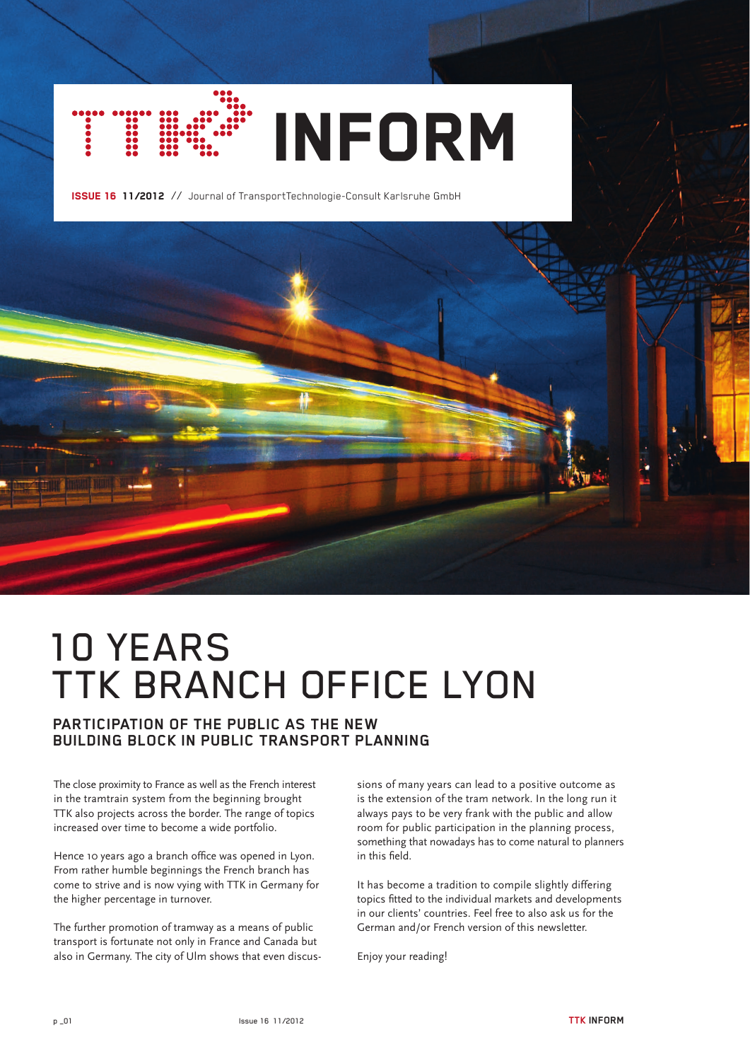

Issue 16 11/2012 // Journal of TransportTechnologie-Consult Karlsruhe GmbH



# **Participation of the public as the new building block in public transport planning**

The close proximity to France as well as the French interest in the tramtrain system from the beginning brought TTK also projects across the border. The range of topics increased over time to become a wide portfolio.

Hence 10 years ago a branch office was opened in Lyon. From rather humble beginnings the French branch has come to strive and is now vying with TTK in Germany for the higher percentage in turnover.

The further promotion of tramway as a means of public transport is fortunate not only in France and Canada but also in Germany. The city of Ulm shows that even discussions of many years can lead to a positive outcome as is the extension of the tram network. In the long run it always pays to be very frank with the public and allow room for public participation in the planning process, something that nowadays has to come natural to planners in this field.

It has become a tradition to compile slightly differing topics fitted to the individual markets and developments in our clients' countries. Feel free to also ask us for the German and/or French version of this newsletter.

Enjoy your reading!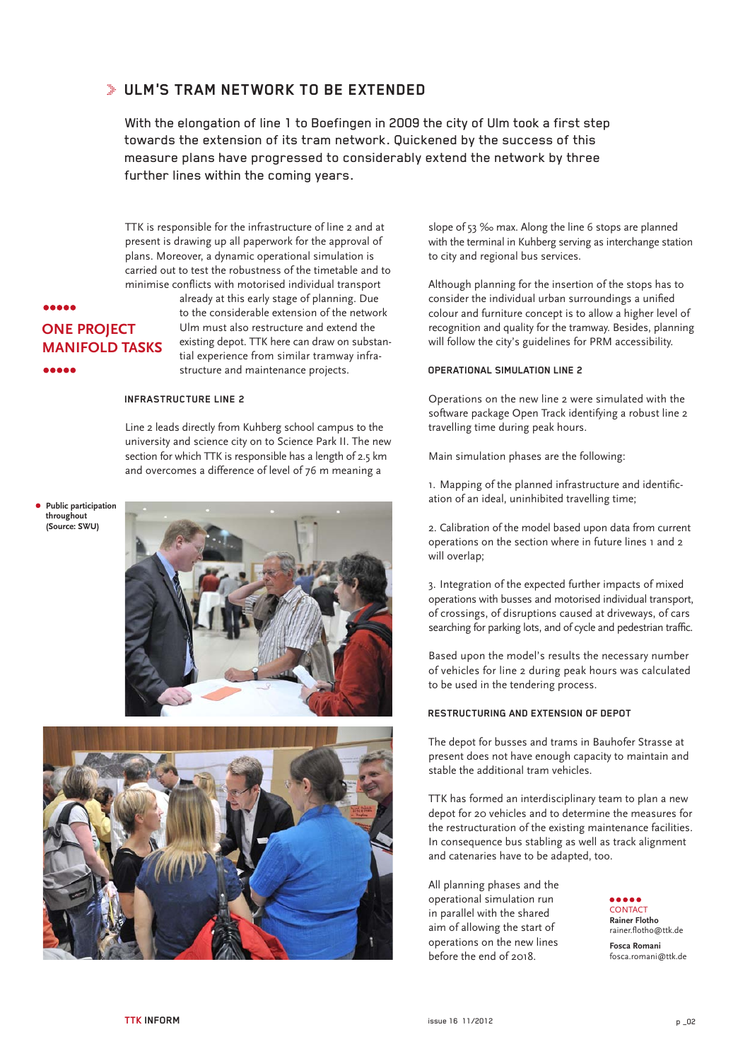### **Ulm's tram network to be extended**

With the elongation of line 1 to Boefingen in 2009 the city of Ulm took a first step towards the extension of its tram network. Quickened by the success of this measure plans have progressed to considerably extend the network by three further lines within the coming years.

TTK is responsible for the infrastructure of line 2 and at present is drawing up all paperwork for the approval of plans. Moreover, a dynamic operational simulation is carried out to test the robustness of the timetable and to minimise conflicts with motorised individual transport

### **AAAAA one project manifold tasks**.....

already at this early stage of planning. Due to the considerable extension of the network Ulm must also restructure and extend the existing depot. TTK here can draw on substantial experience from similar tramway infrastructure and maintenance projects.

#### **INFRASTRUCTURE LINE 2**

Line 2 leads directly from Kuhberg school campus to the university and science city on to Science Park II. The new section for which TTK is responsible has a length of 2.5 km and overcomes a difference of level of 76 m meaning a

#### **Public participation throughout (Source: SWU)**





slope of 53 ‰ max. Along the line 6 stops are planned with the terminal in Kuhberg serving as interchange station to city and regional bus services.

Although planning for the insertion of the stops has to consider the individual urban surroundings a unified colour and furniture concept is to allow a higher level of recognition and quality for the tramway. Besides, planning will follow the city's guidelines for PRM accessibility.

#### **Operational simulation Line 2**

Operations on the new line 2 were simulated with the software package Open Track identifying a robust line 2 travelling time during peak hours.

Main simulation phases are the following:

1. Mapping of the planned infrastructure and identification of an ideal, uninhibited travelling time;

2. Calibration of the model based upon data from current operations on the section where in future lines 1 and 2 will overlap;

3. Integration of the expected further impacts of mixed operations with busses and motorised individual transport, of crossings, of disruptions caused at driveways, of cars searching for parking lots, and of cycle and pedestrian traffic.

Based upon the model's results the necessary number of vehicles for line 2 during peak hours was calculated to be used in the tendering process.

#### **Restructuring and extension of depot**

The depot for busses and trams in Bauhofer Strasse at present does not have enough capacity to maintain and stable the additional tram vehicles.

TTK has formed an interdisciplinary team to plan a new depot for 20 vehicles and to determine the measures for the restructuration of the existing maintenance facilities. In consequence bus stabling as well as track alignment and catenaries have to be adapted, too.

All planning phases and the operational simulation run in parallel with the shared aim of allowing the start of operations on the new lines before the end of 2018.

**CONTACT Rainer Flotho** rainer.flotho@ttk.de **Fosca Romani** fosca.romani@ttk.de